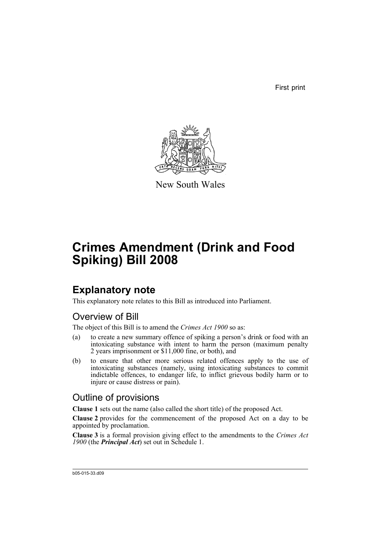First print



New South Wales

# **Crimes Amendment (Drink and Food Spiking) Bill 2008**

## **Explanatory note**

This explanatory note relates to this Bill as introduced into Parliament.

### Overview of Bill

The object of this Bill is to amend the *Crimes Act 1900* so as:

- (a) to create a new summary offence of spiking a person's drink or food with an intoxicating substance with intent to harm the person (maximum penalty 2 years imprisonment or \$11,000 fine, or both), and
- (b) to ensure that other more serious related offences apply to the use of intoxicating substances (namely, using intoxicating substances to commit indictable offences, to endanger life, to inflict grievous bodily harm or to injure or cause distress or pain).

### Outline of provisions

**Clause 1** sets out the name (also called the short title) of the proposed Act.

**Clause 2** provides for the commencement of the proposed Act on a day to be appointed by proclamation.

**Clause 3** is a formal provision giving effect to the amendments to the *Crimes Act 1900* (the *Principal Act*) set out in Schedule 1.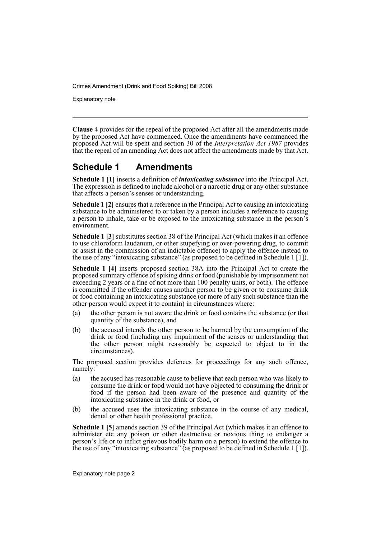Explanatory note

**Clause 4** provides for the repeal of the proposed Act after all the amendments made by the proposed Act have commenced. Once the amendments have commenced the proposed Act will be spent and section 30 of the *Interpretation Act 1987* provides that the repeal of an amending Act does not affect the amendments made by that Act.

#### **Schedule 1 Amendments**

**Schedule 1 [1]** inserts a definition of *intoxicating substance* into the Principal Act. The expression is defined to include alcohol or a narcotic drug or any other substance that affects a person's senses or understanding.

**Schedule 1 [2]** ensures that a reference in the Principal Act to causing an intoxicating substance to be administered to or taken by a person includes a reference to causing a person to inhale, take or be exposed to the intoxicating substance in the person's environment.

**Schedule 1 [3]** substitutes section 38 of the Principal Act (which makes it an offence to use chloroform laudanum, or other stupefying or over-powering drug, to commit or assist in the commission of an indictable offence) to apply the offence instead to the use of any "intoxicating substance" (as proposed to be defined in Schedule 1 [1]).

**Schedule 1 [4]** inserts proposed section 38A into the Principal Act to create the proposed summary offence of spiking drink or food (punishable by imprisonment not exceeding 2 years or a fine of not more than 100 penalty units, or both). The offence is committed if the offender causes another person to be given or to consume drink or food containing an intoxicating substance (or more of any such substance than the other person would expect it to contain) in circumstances where:

- (a) the other person is not aware the drink or food contains the substance (or that quantity of the substance), and
- (b) the accused intends the other person to be harmed by the consumption of the drink or food (including any impairment of the senses or understanding that the other person might reasonably be expected to object to in the circumstances).

The proposed section provides defences for proceedings for any such offence, namely:

- (a) the accused has reasonable cause to believe that each person who was likely to consume the drink or food would not have objected to consuming the drink or food if the person had been aware of the presence and quantity of the intoxicating substance in the drink or food, or
- (b) the accused uses the intoxicating substance in the course of any medical, dental or other health professional practice.

**Schedule 1 [5]** amends section 39 of the Principal Act (which makes it an offence to administer etc any poison or other destructive or noxious thing to endanger a person's life or to inflict grievous bodily harm on a person) to extend the offence to the use of any "intoxicating substance" (as proposed to be defined in Schedule 1 [1]).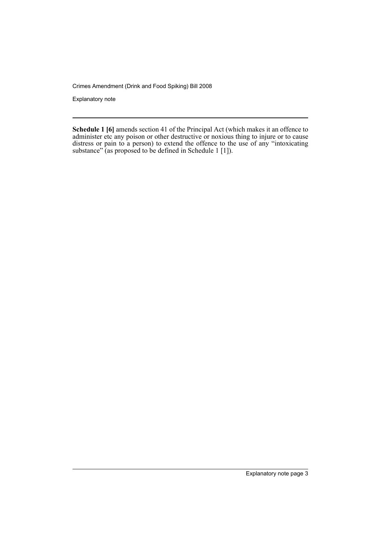Explanatory note

**Schedule 1 [6]** amends section 41 of the Principal Act (which makes it an offence to administer etc any poison or other destructive or noxious thing to injure or to cause distress or pain to a person) to extend the offence to the use of any "intoxicating substance" (as proposed to be defined in Schedule 1 [1]).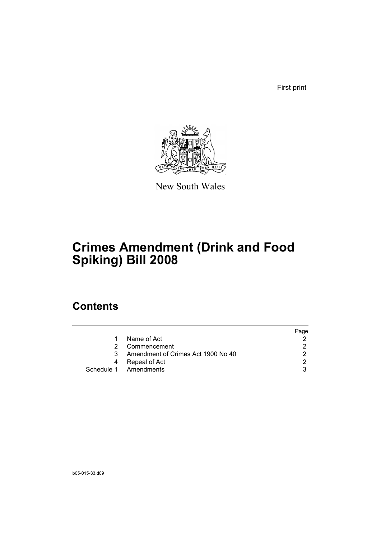First print



New South Wales

# **Crimes Amendment (Drink and Food Spiking) Bill 2008**

## **Contents**

|                                    | Page |
|------------------------------------|------|
| Name of Act                        |      |
| Commencement                       |      |
| Amendment of Crimes Act 1900 No 40 | າ    |
| Repeal of Act                      | ◠    |
| Schedule 1 Amendments              |      |
|                                    |      |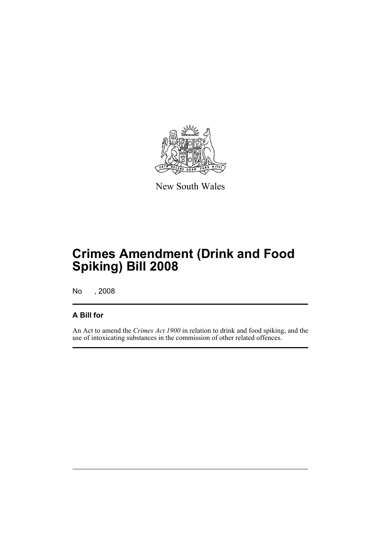

New South Wales

# **Crimes Amendment (Drink and Food Spiking) Bill 2008**

No , 2008

#### **A Bill for**

An Act to amend the *Crimes Act 1900* in relation to drink and food spiking, and the use of intoxicating substances in the commission of other related offences.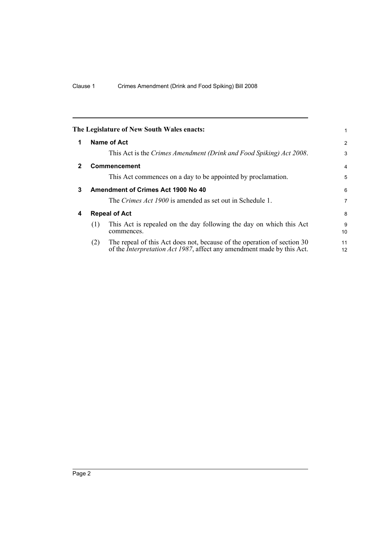<span id="page-7-3"></span><span id="page-7-2"></span><span id="page-7-1"></span><span id="page-7-0"></span>

|              |                      | The Legislature of New South Wales enacts:                                                                                                                | 1              |
|--------------|----------------------|-----------------------------------------------------------------------------------------------------------------------------------------------------------|----------------|
| 1            |                      | Name of Act                                                                                                                                               | $\overline{2}$ |
|              |                      | This Act is the Crimes Amendment (Drink and Food Spiking) Act 2008.                                                                                       | 3              |
| $\mathbf{2}$ |                      | <b>Commencement</b>                                                                                                                                       | 4              |
|              |                      | This Act commences on a day to be appointed by proclamation.                                                                                              | 5              |
| 3            |                      | Amendment of Crimes Act 1900 No 40                                                                                                                        | 6              |
|              |                      | The <i>Crimes Act 1900</i> is amended as set out in Schedule 1.                                                                                           | 7              |
| 4            | <b>Repeal of Act</b> |                                                                                                                                                           | 8              |
|              | (1)                  | This Act is repealed on the day following the day on which this Act<br>commences.                                                                         | 9<br>10        |
|              | (2)                  | The repeal of this Act does not, because of the operation of section 30<br>of the <i>Interpretation Act 1987</i> , affect any amendment made by this Act. | 11<br>12       |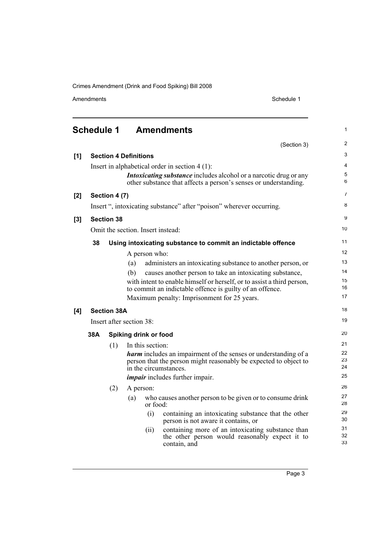Amendments Schedule 1

33

<span id="page-8-0"></span>

|       | <b>Schedule 1</b> |                    | <b>Amendments</b>                                                                                                                            | 1                 |
|-------|-------------------|--------------------|----------------------------------------------------------------------------------------------------------------------------------------------|-------------------|
|       |                   |                    | (Section 3)                                                                                                                                  | 2                 |
| [1]   |                   |                    | <b>Section 4 Definitions</b>                                                                                                                 | 3                 |
|       |                   |                    | Insert in alphabetical order in section $4(1)$ :                                                                                             | 4                 |
|       |                   |                    | <i>Intoxicating substance</i> includes alcohol or a narcotic drug or any<br>other substance that affects a person's senses or understanding. | 5<br>6            |
| $[2]$ |                   | Section 4 (7)      |                                                                                                                                              | 7                 |
|       |                   |                    | Insert ", intoxicating substance" after "poison" wherever occurring.                                                                         | 8                 |
| $[3]$ |                   | <b>Section 38</b>  |                                                                                                                                              | 9                 |
|       |                   |                    | Omit the section. Insert instead:                                                                                                            | 10                |
|       | 38                |                    | Using intoxicating substance to commit an indictable offence                                                                                 | 11                |
|       |                   |                    | A person who:                                                                                                                                | $12 \overline{ }$ |
|       |                   |                    | administers an intoxicating substance to another person, or<br>(a)                                                                           | 13                |
|       |                   |                    | causes another person to take an intoxicating substance,<br>(b)                                                                              | 14                |
|       |                   |                    | with intent to enable himself or herself, or to assist a third person,                                                                       | 15                |
|       |                   |                    | to commit an indictable offence is guilty of an offence.                                                                                     | 16                |
|       |                   |                    | Maximum penalty: Imprisonment for 25 years.                                                                                                  | 17                |
| [4]   |                   | <b>Section 38A</b> |                                                                                                                                              | 18                |
|       |                   |                    | Insert after section 38:                                                                                                                     | 19                |
|       | 38A               |                    | Spiking drink or food                                                                                                                        | 20                |
|       |                   | (1)                | In this section:                                                                                                                             | 21                |
|       |                   |                    | <b>harm</b> includes an impairment of the senses or understanding of a                                                                       | 22                |
|       |                   |                    | person that the person might reasonably be expected to object to                                                                             | 23<br>24          |
|       |                   |                    | in the circumstances.                                                                                                                        | 25                |
|       |                   |                    | <i>impair</i> includes further impair.                                                                                                       |                   |
|       |                   | (2)                | A person:                                                                                                                                    | 26                |
|       |                   |                    | who causes another person to be given or to consume drink<br>(a)<br>or food:                                                                 | 27<br>28          |
|       |                   |                    | (i)<br>containing an intoxicating substance that the other<br>person is not aware it contains, or                                            | 29<br>30          |
|       |                   |                    | containing more of an intoxicating substance than<br>(ii)<br>the other person would reasonably expect it to                                  | 31<br>32          |

contain, and